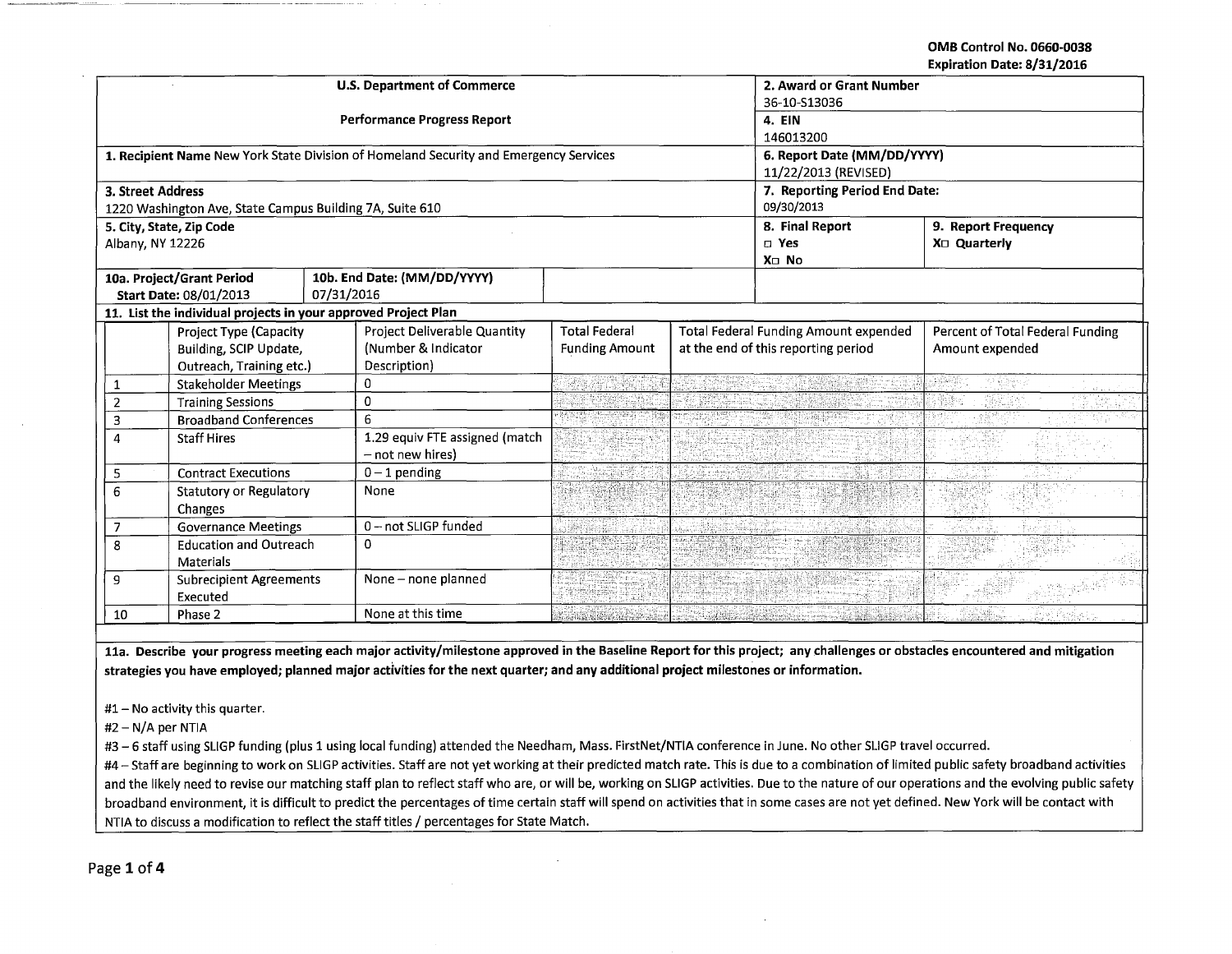OMB Control No. 0660-0038 Expiration Date: 8/31/2016

|                        | EVAIL QUOIL DATE OI 311 COTO                                   |            |                                                                                       |                          |                 |                                              |                                  |  |  |
|------------------------|----------------------------------------------------------------|------------|---------------------------------------------------------------------------------------|--------------------------|-----------------|----------------------------------------------|----------------------------------|--|--|
|                        |                                                                |            | <b>U.S. Department of Commerce</b>                                                    | 2. Award or Grant Number |                 |                                              |                                  |  |  |
|                        |                                                                |            |                                                                                       | 36-10-513036             |                 |                                              |                                  |  |  |
|                        |                                                                |            | <b>Performance Progress Report</b>                                                    | 4. EIN                   |                 |                                              |                                  |  |  |
|                        |                                                                |            |                                                                                       | 146013200                |                 |                                              |                                  |  |  |
|                        |                                                                |            | 1. Recipient Name New York State Division of Homeland Security and Emergency Services |                          |                 | 6. Report Date (MM/DD/YYYY)                  |                                  |  |  |
|                        |                                                                |            |                                                                                       |                          |                 | 11/22/2013 (REVISED)                         |                                  |  |  |
| 3. Street Address      |                                                                |            |                                                                                       |                          |                 | 7. Reporting Period End Date:                |                                  |  |  |
|                        | 1220 Washington Ave, State Campus Building 7A, Suite 610       |            |                                                                                       |                          |                 | 09/30/2013                                   |                                  |  |  |
|                        | 5. City, State, Zip Code                                       |            |                                                                                       |                          |                 | 8. Final Report                              | 9. Report Frequency              |  |  |
| Albany, NY 12226       |                                                                |            |                                                                                       |                          |                 | $\square$ Yes                                | $X \square$ Quarterly            |  |  |
|                        |                                                                |            |                                                                                       |                          |                 | X <sub>II</sub> No                           |                                  |  |  |
|                        | 10a. Project/Grant Period                                      |            | 10b. End Date: (MM/DD/YYYY)                                                           |                          |                 |                                              |                                  |  |  |
|                        | Start Date: 08/01/2013                                         | 07/31/2016 |                                                                                       |                          |                 |                                              |                                  |  |  |
|                        | 11. List the individual projects in your approved Project Plan |            |                                                                                       |                          |                 |                                              |                                  |  |  |
|                        | Project Type (Capacity                                         |            | Project Deliverable Quantity                                                          | <b>Total Federal</b>     |                 | <b>Total Federal Funding Amount expended</b> | Percent of Total Federal Funding |  |  |
| Building, SCIP Update, |                                                                |            |                                                                                       |                          |                 |                                              |                                  |  |  |
|                        |                                                                |            | (Number & Indicator                                                                   | <b>Funding Amount</b>    |                 | at the end of this reporting period          | Amount expended                  |  |  |
|                        | Outreach, Training etc.)                                       |            | Description)                                                                          |                          |                 |                                              |                                  |  |  |
| 1                      | <b>Stakeholder Meetings</b>                                    |            | 0                                                                                     |                          |                 |                                              | 法强硬条件<br>77 % (exp               |  |  |
| $\overline{2}$         | <b>Training Sessions</b>                                       |            | 0                                                                                     |                          |                 |                                              |                                  |  |  |
| 3                      | <b>Broadband Conferences</b>                                   |            | 6                                                                                     | <u>ku</u> nstnad         |                 |                                              |                                  |  |  |
| 4                      | <b>Staff Hires</b>                                             |            | 1.29 equiv FTE assigned (match                                                        |                          |                 |                                              |                                  |  |  |
|                        |                                                                |            | - not new hires)                                                                      |                          |                 |                                              |                                  |  |  |
| 5                      | <b>Contract Executions</b>                                     |            | $0 - 1$ pending                                                                       |                          |                 |                                              |                                  |  |  |
| 6                      | <b>Statutory or Regulatory</b>                                 |            | None                                                                                  |                          |                 |                                              |                                  |  |  |
|                        | <b>Changes</b>                                                 |            |                                                                                       |                          |                 |                                              |                                  |  |  |
| 7                      | <b>Governance Meetings</b>                                     |            | 0-not SLIGP funded                                                                    |                          |                 |                                              |                                  |  |  |
| 8                      | <b>Education and Outreach</b>                                  |            | 0                                                                                     |                          |                 |                                              |                                  |  |  |
|                        | <b>Materials</b>                                               |            |                                                                                       |                          |                 |                                              |                                  |  |  |
| 9                      | <b>Subrecipient Agreements</b>                                 |            | None - none planned                                                                   |                          | nie Systematist |                                              |                                  |  |  |
|                        | Executed                                                       |            |                                                                                       |                          |                 |                                              |                                  |  |  |

11a. Describe your progress meeting each major activity/milestone approved in the Baseline Report for this project; any challenges or obstacles encountered and mitigation strategies you have employed; planned major activities for the next quarter; and any additional project milestones or information.

#1- No activity this quarter.

 $#2 - N/A$  per NTIA

 $\bar{\alpha}$ 

#3 - 6 staff using SLIGP funding (plus 1 using local funding) attended the Needham, Mass. FirstNet/NTIA conference in June. No other SLIGP travel occurred.

#4 - Staff are beginning to work on SLIGP activities. Staff are not yet working at their predicted match rate. This is due to a combination of limited public safety broadband activities and the likely need to revise our matching staff plan to reflect staff who are, or will be, working on SLIGP activities. Due to the nature of our operations and the evolving public safety broadband environment, it is difficult to predict the percentages of time certain staff will spend on activities that in some cases are not yet defined. New York will be contact with NTIA to discuss a modification to reflect the staff titles / percentages for State Match.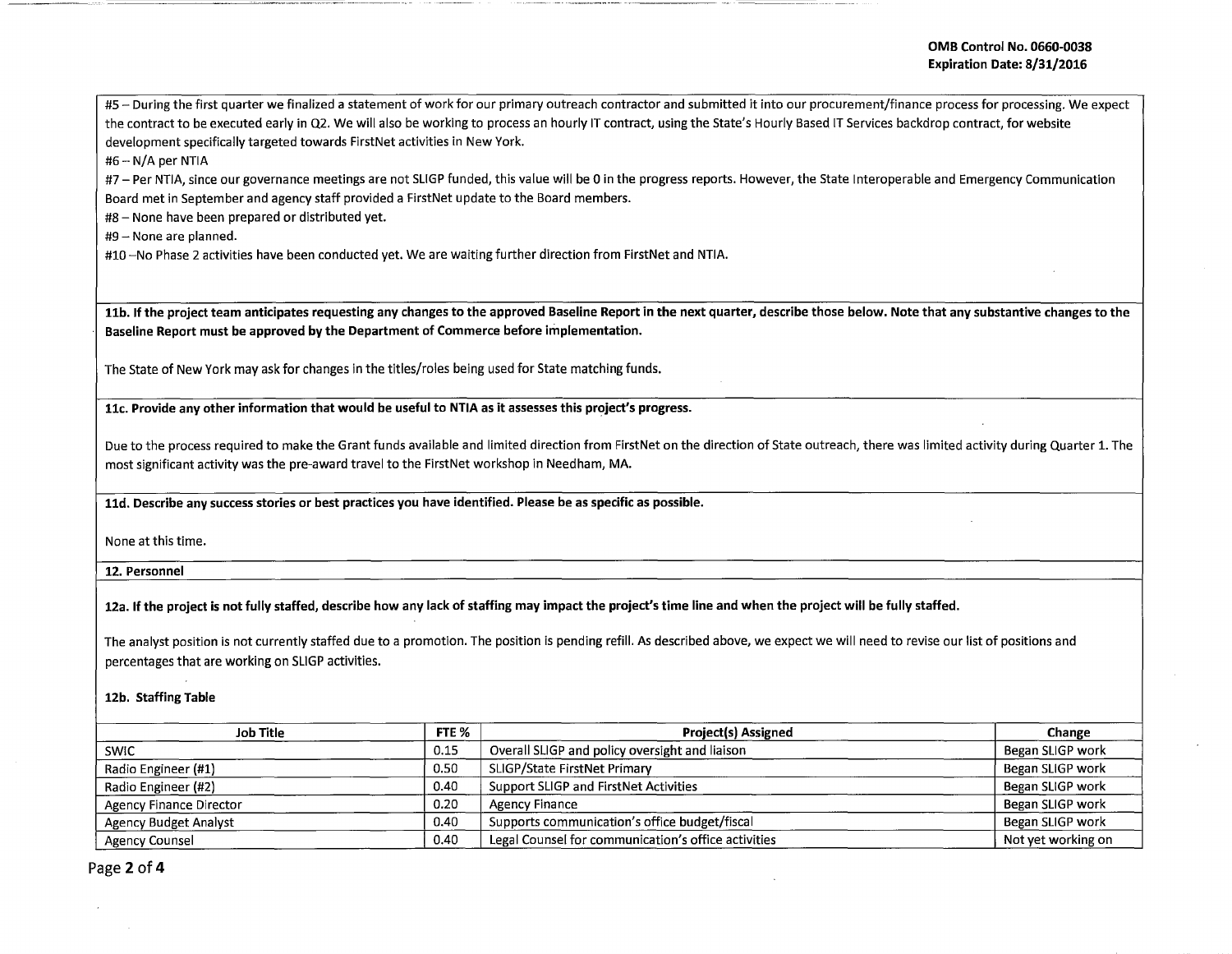#5- During the first quarter we finalized a statement of work for our primary outreach contractor and submitted it into our procurement/finance process for processing. We expect the contract to be executed early in Q2. We will also be working to process an hourly IT contract, using the State's Hourly Based IT Services backdrop contract, for website development specifically targeted towards FirstNet activities in New York.

 $#6 - N/A$  per NTIA

#7- Per NTIA, since our governance meetings are not SLIGP funded, this value will be 0 in the progress reports. However, the State Interoperable and Emergency Communication Board met in September and agency staff provided a FirstNet update to the Board members.

#8- None have been prepared or distributed yet.

#9- None are planned.

#10 -No Phase 2 activities have been conducted yet. We are waiting further direction from FirstNet and NTIA.

11b. If the project team anticipates requesting any changes to the approved Baseline Report in the next quarter, describe those below. Note that any substantive changes to the Baseline Report must be approved by the Department of Commerce before implementation.

The State of New York may ask for changes in the titles/roles being used for State matching funds.

11c. Provide any other information that would be useful to NTIA as it assesses this project's progress.

Due to the process required to make the Grant funds available and limited direction from FirstNet on the direction of State outreach, there was limited activity during Quarter 1. The most significant activity was the pre-award travel to the FirstNet workshop in Needham, MA.

11d. Describe any success stories or best practices you have identified. Please be as specific as possible.

None at this time.

12. Personnel

12a. If the project is not fully staffed, describe how any lack of staffing may impact the project's time line and when the project will be fully staffed.

The analyst position is not currently staffed due to a promotion. The position is pending refill. As described above, we expect we will need to revise our list of positions and percentages that are working on SLIGP activities.

## 12b. Staffing Table

| Job Title                    | FTE % | <b>Project(s) Assigned</b>                          | Change             |  |
|------------------------------|-------|-----------------------------------------------------|--------------------|--|
| <b>SWIC</b>                  | 0.15  | Overall SLIGP and policy oversight and liaison      | Began SLIGP work   |  |
| Radio Engineer (#1)          | 0.50  | SLIGP/State FirstNet Primary                        | Began SLIGP work   |  |
| Radio Engineer (#2)          | 0.40  | Support SLIGP and FirstNet Activities               | Began SLIGP work   |  |
| Agency Finance Director      | 0.20  | Agency Finance                                      | Began SLIGP work   |  |
| <b>Agency Budget Analyst</b> | 0.40  | Supports communication's office budget/fiscal       | Began SLIGP work   |  |
| Agency Counsel               | 0.40  | Legal Counsel for communication's office activities | Not yet working on |  |

Page 2 of 4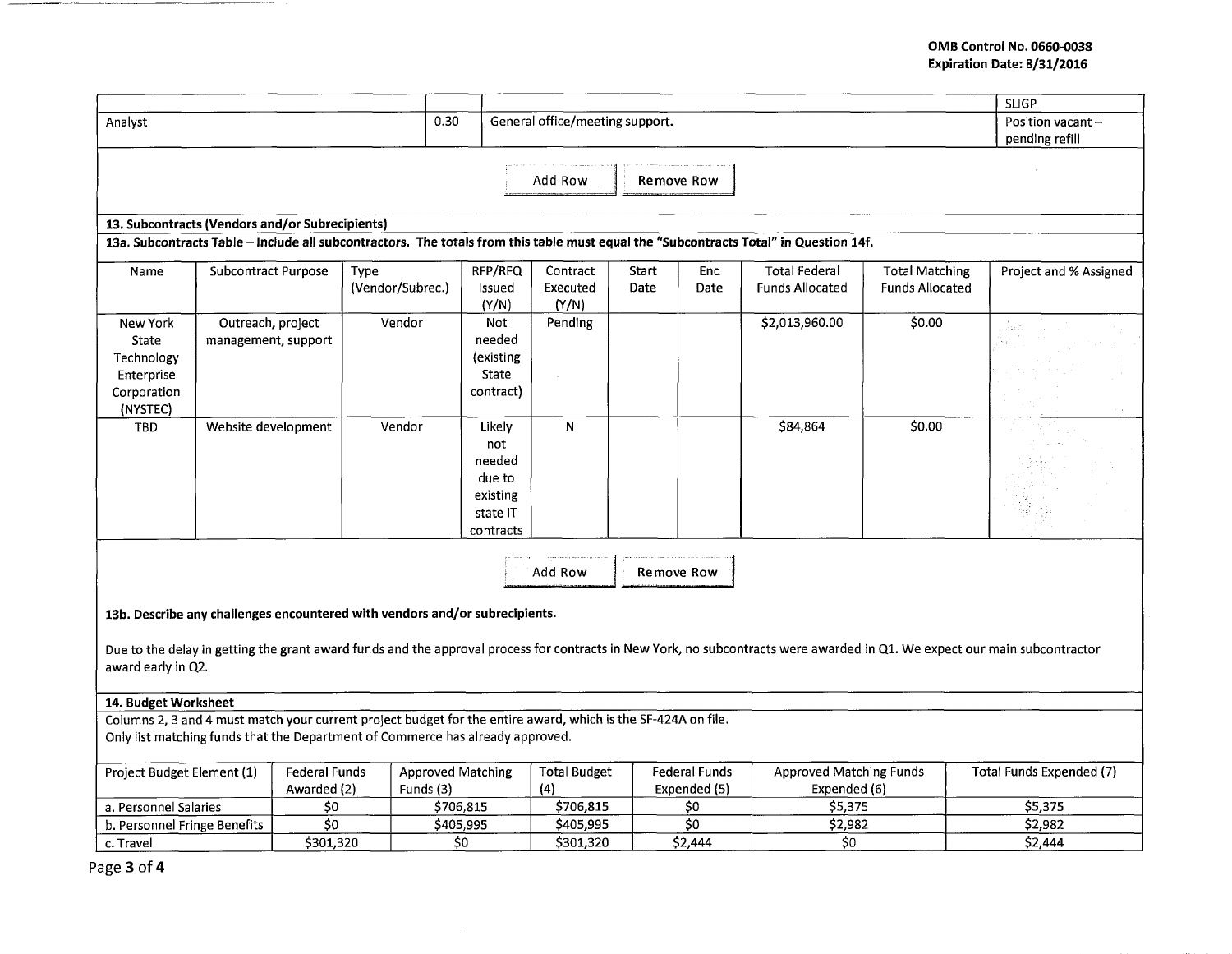## **OMB Control No. 0660-0038 Expiration Date: 8/31/2016**

|                                                                                                                                       |                                                                             |                      |                  |                                 |                     |       |                      |                                |                        | <b>SLIGP</b>                                                                                                                                                               |
|---------------------------------------------------------------------------------------------------------------------------------------|-----------------------------------------------------------------------------|----------------------|------------------|---------------------------------|---------------------|-------|----------------------|--------------------------------|------------------------|----------------------------------------------------------------------------------------------------------------------------------------------------------------------------|
| 0.30<br>Analyst                                                                                                                       |                                                                             |                      |                  | General office/meeting support. |                     |       |                      |                                | Position vacant-       |                                                                                                                                                                            |
|                                                                                                                                       |                                                                             |                      |                  |                                 | pending refill      |       |                      |                                |                        |                                                                                                                                                                            |
|                                                                                                                                       |                                                                             |                      |                  |                                 |                     |       |                      |                                |                        |                                                                                                                                                                            |
|                                                                                                                                       |                                                                             |                      |                  |                                 | Add Row             |       | Remove Row           |                                |                        |                                                                                                                                                                            |
|                                                                                                                                       |                                                                             |                      |                  |                                 |                     |       |                      |                                |                        |                                                                                                                                                                            |
|                                                                                                                                       | 13. Subcontracts (Vendors and/or Subrecipients)                             |                      |                  |                                 |                     |       |                      |                                |                        |                                                                                                                                                                            |
| 13a. Subcontracts Table - Include all subcontractors. The totals from this table must equal the "Subcontracts Total" in Question 14f. |                                                                             |                      |                  |                                 |                     |       |                      |                                |                        |                                                                                                                                                                            |
| Name                                                                                                                                  | <b>Subcontract Purpose</b>                                                  | Type                 |                  | RFP/RFQ                         | Contract            | Start | End                  | <b>Total Federal</b>           | <b>Total Matching</b>  | Project and % Assigned                                                                                                                                                     |
|                                                                                                                                       |                                                                             |                      | (Vendor/Subrec.) | Issued                          | Executed            | Date  | Date                 | <b>Funds Allocated</b>         | <b>Funds Allocated</b> |                                                                                                                                                                            |
|                                                                                                                                       |                                                                             |                      |                  | (Y/N)                           | (Y/N)               |       |                      |                                |                        |                                                                                                                                                                            |
| New York                                                                                                                              | Outreach, project                                                           |                      | Vendor           | Not<br>needed                   | Pending             |       |                      | \$2,013,960.00                 | \$0.00                 | دافق بال                                                                                                                                                                   |
| State<br>Technology                                                                                                                   | management, support                                                         |                      |                  | (existing                       |                     |       |                      |                                |                        |                                                                                                                                                                            |
| Enterprise                                                                                                                            |                                                                             |                      |                  | State                           |                     |       |                      |                                |                        |                                                                                                                                                                            |
| Corporation                                                                                                                           |                                                                             |                      |                  | contract)                       |                     |       |                      |                                |                        |                                                                                                                                                                            |
| (NYSTEC)                                                                                                                              |                                                                             |                      |                  |                                 |                     |       |                      |                                |                        |                                                                                                                                                                            |
| TBD                                                                                                                                   | Website development                                                         |                      | Vendor           | Likely                          | N                   |       |                      | \$84,864                       | \$0.00                 |                                                                                                                                                                            |
|                                                                                                                                       |                                                                             |                      |                  | not                             |                     |       |                      |                                |                        |                                                                                                                                                                            |
|                                                                                                                                       |                                                                             |                      |                  | needed                          |                     |       |                      |                                |                        |                                                                                                                                                                            |
|                                                                                                                                       |                                                                             |                      |                  | due to                          |                     |       |                      |                                |                        |                                                                                                                                                                            |
|                                                                                                                                       |                                                                             |                      |                  | existing                        |                     |       |                      |                                |                        |                                                                                                                                                                            |
|                                                                                                                                       |                                                                             |                      |                  | state IT<br>contracts           |                     |       |                      |                                |                        |                                                                                                                                                                            |
|                                                                                                                                       |                                                                             |                      |                  |                                 |                     |       |                      |                                |                        |                                                                                                                                                                            |
|                                                                                                                                       |                                                                             |                      |                  |                                 | Add Row             |       | Remove Row           |                                |                        |                                                                                                                                                                            |
|                                                                                                                                       |                                                                             |                      |                  |                                 |                     |       |                      |                                |                        |                                                                                                                                                                            |
|                                                                                                                                       |                                                                             |                      |                  |                                 |                     |       |                      |                                |                        |                                                                                                                                                                            |
|                                                                                                                                       | 13b. Describe any challenges encountered with vendors and/or subrecipients. |                      |                  |                                 |                     |       |                      |                                |                        |                                                                                                                                                                            |
|                                                                                                                                       |                                                                             |                      |                  |                                 |                     |       |                      |                                |                        | Due to the delay in getting the grant award funds and the approval process for contracts in New York, no subcontracts were awarded in Q1. We expect our main subcontractor |
| award early in Q2.                                                                                                                    |                                                                             |                      |                  |                                 |                     |       |                      |                                |                        |                                                                                                                                                                            |
|                                                                                                                                       |                                                                             |                      |                  |                                 |                     |       |                      |                                |                        |                                                                                                                                                                            |
| 14. Budget Worksheet                                                                                                                  |                                                                             |                      |                  |                                 |                     |       |                      |                                |                        |                                                                                                                                                                            |
| Columns 2, 3 and 4 must match your current project budget for the entire award, which is the SF-424A on file.                         |                                                                             |                      |                  |                                 |                     |       |                      |                                |                        |                                                                                                                                                                            |
| Only list matching funds that the Department of Commerce has already approved.                                                        |                                                                             |                      |                  |                                 |                     |       |                      |                                |                        |                                                                                                                                                                            |
| Project Budget Element (1)                                                                                                            |                                                                             | <b>Federal Funds</b> |                  | <b>Approved Matching</b>        | <b>Total Budget</b> |       | <b>Federal Funds</b> | <b>Approved Matching Funds</b> |                        | Total Funds Expended (7)                                                                                                                                                   |
|                                                                                                                                       |                                                                             | Awarded (2)          | Funds (3)        |                                 | (4)                 |       | Expended (5)         | Expended (6)                   |                        |                                                                                                                                                                            |
| a. Personnel Salaries                                                                                                                 |                                                                             | \$0                  |                  | \$706,815                       | \$706,815           |       | \$0                  | \$5,375                        |                        | \$5,375                                                                                                                                                                    |
| b. Personnel Fringe Benefits                                                                                                          |                                                                             | \$0                  |                  | \$405,995                       | \$405,995           |       | 50                   | \$2,982                        |                        | \$2,982                                                                                                                                                                    |
| c. Travel                                                                                                                             |                                                                             | \$301,320            |                  | \$0                             | \$301,320           |       | \$2,444              | \$0                            |                        | \$2,444                                                                                                                                                                    |

 $\sim 10^7$